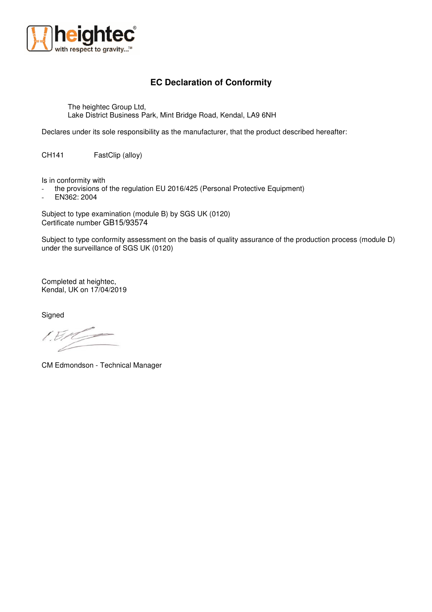

## **EC Declaration of Conformity**

The heightec Group Ltd, Lake District Business Park, Mint Bridge Road, Kendal, LA9 6NH

Declares under its sole responsibility as the manufacturer, that the product described hereafter:

CH141 FastClip (alloy)

Is in conformity with

- the provisions of the regulation EU 2016/425 (Personal Protective Equipment)

- EN362: 2004

Subject to type examination (module B) by SGS UK (0120) Certificate number GB15/93574

Subject to type conformity assessment on the basis of quality assurance of the production process (module D) under the surveillance of SGS UK (0120)

Completed at heightec, Kendal, UK on 17/04/2019

**Signed** 

[ E

CM Edmondson - Technical Manager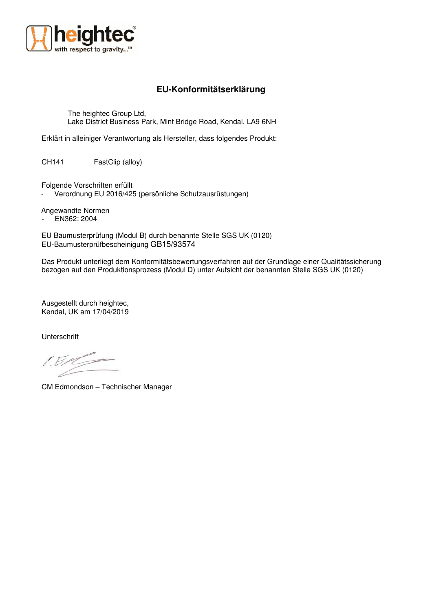

## **EU-Konformitätserklärung**

The heightec Group Ltd, Lake District Business Park, Mint Bridge Road, Kendal, LA9 6NH

Erklärt in alleiniger Verantwortung als Hersteller, dass folgendes Produkt:

CH141 FastClip (alloy)

Folgende Vorschriften erfüllt

Verordnung EU 2016/425 (persönliche Schutzausrüstungen)

Angewandte Normen

- EN362: 2004

EU Baumusterprüfung (Modul B) durch benannte Stelle SGS UK (0120) EU-Baumusterprüfbescheinigung GB15/93574

Das Produkt unterliegt dem Konformitätsbewertungsverfahren auf der Grundlage einer Qualitätssicherung bezogen auf den Produktionsprozess (Modul D) unter Aufsicht der benannten Stelle SGS UK (0120)

Ausgestellt durch heightec, Kendal, UK am 17/04/2019

Unterschrift

CM Edmondson – Technischer Manager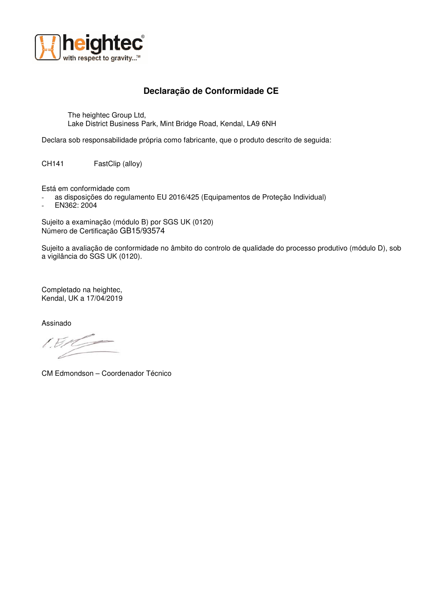

## **Declaração de Conformidade CE**

The heightec Group Ltd, Lake District Business Park, Mint Bridge Road, Kendal, LA9 6NH

Declara sob responsabilidade própria como fabricante, que o produto descrito de seguida:

CH141 FastClip (alloy)

Está em conformidade com

- as disposições do regulamento EU 2016/425 (Equipamentos de Proteção Individual)
- EN362: 2004

Sujeito a examinação (módulo B) por SGS UK (0120) Número de Certificação GB15/93574

Sujeito a avaliação de conformidade no âmbito do controlo de qualidade do processo produtivo (módulo D), sob a vigilância do SGS UK (0120).

Completado na heightec, Kendal, UK a 17/04/2019

Assinado

CM Edmondson – Coordenador Técnico